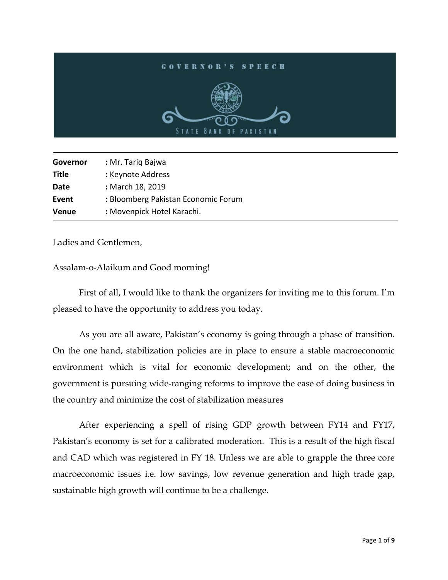## **GOVERNOR'S SPEECH** STATE BA **PAKISTAI**

| Governor     | : Mr. Tariq Bajwa                   |
|--------------|-------------------------------------|
| <b>Title</b> | : Keynote Address                   |
| Date         | : March 18, 2019                    |
| Event        | : Bloomberg Pakistan Economic Forum |
| <b>Venue</b> | : Movenpick Hotel Karachi.          |

Ladies and Gentlemen,

l

Assalam-o-Alaikum and Good morning!

First of all, I would like to thank the organizers for inviting me to this forum. I'm pleased to have the opportunity to address you today.

As you are all aware, Pakistan's economy is going through a phase of transition. On the one hand, stabilization policies are in place to ensure a stable macroeconomic environment which is vital for economic development; and on the other, the government is pursuing wide-ranging reforms to improve the ease of doing business in the country and minimize the cost of stabilization measures

After experiencing a spell of rising GDP growth between FY14 and FY17, Pakistan's economy is set for a calibrated moderation. This is a result of the high fiscal and CAD which was registered in FY 18. Unless we are able to grapple the three core macroeconomic issues i.e. low savings, low revenue generation and high trade gap, sustainable high growth will continue to be a challenge.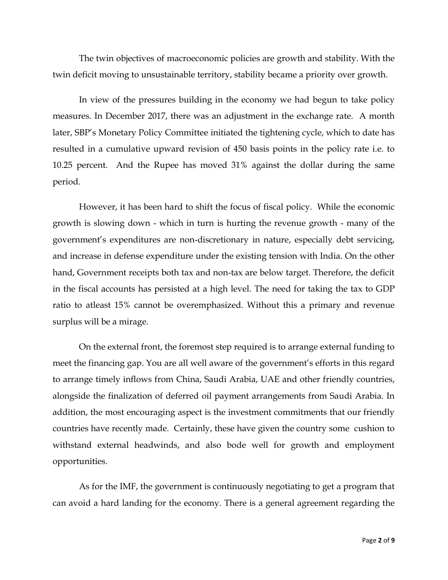The twin objectives of macroeconomic policies are growth and stability. With the twin deficit moving to unsustainable territory, stability became a priority over growth.

In view of the pressures building in the economy we had begun to take policy measures. In December 2017, there was an adjustment in the exchange rate. A month later, SBP's Monetary Policy Committee initiated the tightening cycle, which to date has resulted in a cumulative upward revision of 450 basis points in the policy rate i.e. to 10.25 percent. And the Rupee has moved 31% against the dollar during the same period.

However, it has been hard to shift the focus of fiscal policy. While the economic growth is slowing down - which in turn is hurting the revenue growth - many of the government's expenditures are non-discretionary in nature, especially debt servicing, and increase in defense expenditure under the existing tension with India. On the other hand, Government receipts both tax and non-tax are below target. Therefore, the deficit in the fiscal accounts has persisted at a high level. The need for taking the tax to GDP ratio to atleast 15% cannot be overemphasized. Without this a primary and revenue surplus will be a mirage.

On the external front, the foremost step required is to arrange external funding to meet the financing gap. You are all well aware of the government's efforts in this regard to arrange timely inflows from China, Saudi Arabia, UAE and other friendly countries, alongside the finalization of deferred oil payment arrangements from Saudi Arabia. In addition, the most encouraging aspect is the investment commitments that our friendly countries have recently made. Certainly, these have given the country some cushion to withstand external headwinds, and also bode well for growth and employment opportunities.

As for the IMF, the government is continuously negotiating to get a program that can avoid a hard landing for the economy. There is a general agreement regarding the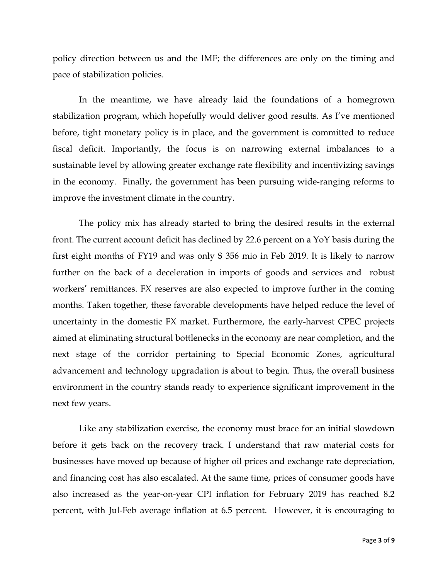policy direction between us and the IMF; the differences are only on the timing and pace of stabilization policies.

In the meantime, we have already laid the foundations of a homegrown stabilization program, which hopefully would deliver good results. As I've mentioned before, tight monetary policy is in place, and the government is committed to reduce fiscal deficit. Importantly, the focus is on narrowing external imbalances to a sustainable level by allowing greater exchange rate flexibility and incentivizing savings in the economy. Finally, the government has been pursuing wide-ranging reforms to improve the investment climate in the country.

The policy mix has already started to bring the desired results in the external front. The current account deficit has declined by 22.6 percent on a YoY basis during the first eight months of FY19 and was only \$ 356 mio in Feb 2019. It is likely to narrow further on the back of a deceleration in imports of goods and services and robust workers' remittances. FX reserves are also expected to improve further in the coming months. Taken together, these favorable developments have helped reduce the level of uncertainty in the domestic FX market. Furthermore, the early-harvest CPEC projects aimed at eliminating structural bottlenecks in the economy are near completion, and the next stage of the corridor pertaining to Special Economic Zones, agricultural advancement and technology upgradation is about to begin. Thus, the overall business environment in the country stands ready to experience significant improvement in the next few years.

Like any stabilization exercise, the economy must brace for an initial slowdown before it gets back on the recovery track. I understand that raw material costs for businesses have moved up because of higher oil prices and exchange rate depreciation, and financing cost has also escalated. At the same time, prices of consumer goods have also increased as the year-on-year CPI inflation for February 2019 has reached 8.2 percent, with Jul-Feb average inflation at 6.5 percent. However, it is encouraging to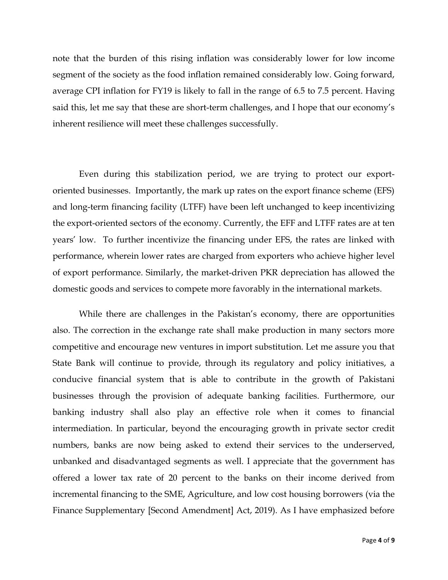note that the burden of this rising inflation was considerably lower for low income segment of the society as the food inflation remained considerably low. Going forward, average CPI inflation for FY19 is likely to fall in the range of 6.5 to 7.5 percent. Having said this, let me say that these are short-term challenges, and I hope that our economy's inherent resilience will meet these challenges successfully.

Even during this stabilization period, we are trying to protect our exportoriented businesses. Importantly, the mark up rates on the export finance scheme (EFS) and long-term financing facility (LTFF) have been left unchanged to keep incentivizing the export-oriented sectors of the economy. Currently, the EFF and LTFF rates are at ten years' low. To further incentivize the financing under EFS, the rates are linked with performance, wherein lower rates are charged from exporters who achieve higher level of export performance. Similarly, the market-driven PKR depreciation has allowed the domestic goods and services to compete more favorably in the international markets.

While there are challenges in the Pakistan's economy, there are opportunities also. The correction in the exchange rate shall make production in many sectors more competitive and encourage new ventures in import substitution. Let me assure you that State Bank will continue to provide, through its regulatory and policy initiatives, a conducive financial system that is able to contribute in the growth of Pakistani businesses through the provision of adequate banking facilities. Furthermore, our banking industry shall also play an effective role when it comes to financial intermediation. In particular, beyond the encouraging growth in private sector credit numbers, banks are now being asked to extend their services to the underserved, unbanked and disadvantaged segments as well. I appreciate that the government has offered a lower tax rate of 20 percent to the banks on their income derived from incremental financing to the SME, Agriculture, and low cost housing borrowers (via the Finance Supplementary [Second Amendment] Act, 2019). As I have emphasized before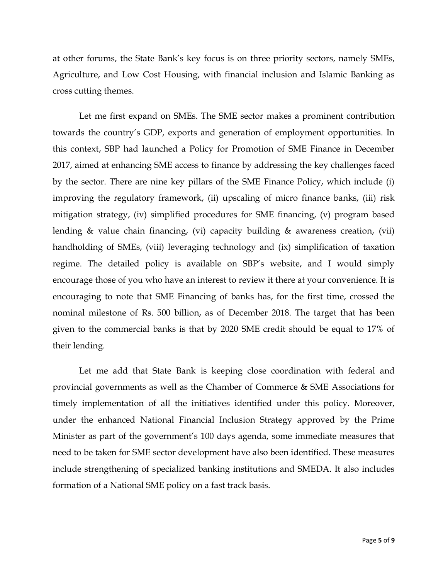at other forums, the State Bank's key focus is on three priority sectors, namely SMEs, Agriculture, and Low Cost Housing, with financial inclusion and Islamic Banking as cross cutting themes.

Let me first expand on SMEs. The SME sector makes a prominent contribution towards the country's GDP, exports and generation of employment opportunities. In this context, SBP had launched a Policy for Promotion of SME Finance in December 2017, aimed at enhancing SME access to finance by addressing the key challenges faced by the sector. There are nine key pillars of the SME Finance Policy, which include (i) improving the regulatory framework, (ii) upscaling of micro finance banks, (iii) risk mitigation strategy, (iv) simplified procedures for SME financing, (v) program based lending & value chain financing, (vi) capacity building & awareness creation, (vii) handholding of SMEs, (viii) leveraging technology and (ix) simplification of taxation regime. The detailed policy is available on SBP's website, and I would simply encourage those of you who have an interest to review it there at your convenience. It is encouraging to note that SME Financing of banks has, for the first time, crossed the nominal milestone of Rs. 500 billion, as of December 2018. The target that has been given to the commercial banks is that by 2020 SME credit should be equal to 17% of their lending.

Let me add that State Bank is keeping close coordination with federal and provincial governments as well as the Chamber of Commerce & SME Associations for timely implementation of all the initiatives identified under this policy. Moreover, under the enhanced National Financial Inclusion Strategy approved by the Prime Minister as part of the government's 100 days agenda, some immediate measures that need to be taken for SME sector development have also been identified. These measures include strengthening of specialized banking institutions and SMEDA. It also includes formation of a National SME policy on a fast track basis.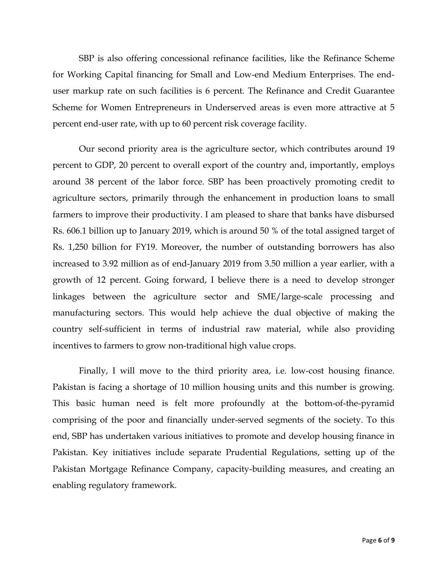SBP is also offering concessional refinance facilities, like the Refinance Scheme for Working Capital financing for Small and Low-end Medium Enterprises. The enduser markup rate on such facilities is 6 percent. The Refinance and Credit Guarantee Scheme for Women Entrepreneurs in Underserved areas is even more attractive at 5 percent end-user rate, with up to 60 percent risk coverage facility.

Our second priority area is the agriculture sector, which contributes around 19 percent to GDP, 20 percent to overall export of the country and, importantly, employs around 38 percent of the labor force. SBP has been proactively promoting credit to agriculture sectors, primarily through the enhancement in production loans to small farmers to improve their productivity. I am pleased to share that banks have disbursed Rs. 606.1 billion up to January 2019, which is around 50 % of the total assigned target of Rs. 1,250 billion for FY19. Moreover, the number of outstanding borrowers has also increased to 3.92 million as of end-January 2019 from 3.50 million a year earlier, with a growth of 12 percent. Going forward, I believe there is a need to develop stronger linkages between the agriculture sector and SME/large-scale processing and manufacturing sectors. This would help achieve the dual objective of making the country self-sufficient in terms of industrial raw material, while also providing incentives to farmers to grow non-traditional high value crops.

Finally, I will move to the third priority area, i.e. low-cost housing finance. Pakistan is facing a shortage of 10 million housing units and this number is growing. This basic human need is felt more profoundly at the bottom-of-the-pyramid comprising of the poor and financially under-served segments of the society. To this end, SBP has undertaken various initiatives to promote and develop housing finance in Pakistan. Key initiatives include separate Prudential Regulations, setting up of the Pakistan Mortgage Refinance Company, capacity-building measures, and creating an enabling regulatory framework.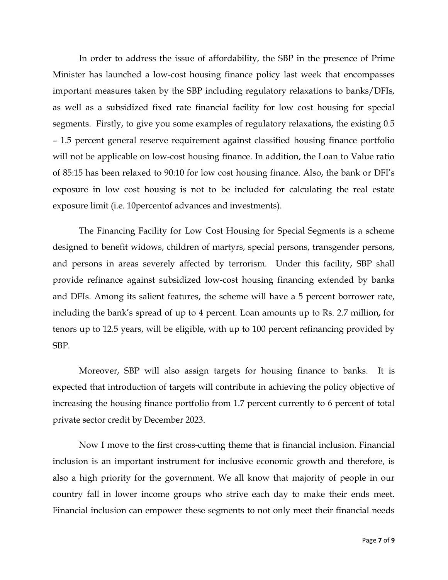In order to address the issue of affordability, the SBP in the presence of Prime Minister has launched a low-cost housing finance policy last week that encompasses important measures taken by the SBP including regulatory relaxations to banks/DFIs, as well as a subsidized fixed rate financial facility for low cost housing for special segments. Firstly, to give you some examples of regulatory relaxations, the existing 0.5 – 1.5 percent general reserve requirement against classified housing finance portfolio will not be applicable on low-cost housing finance. In addition, the Loan to Value ratio of 85:15 has been relaxed to 90:10 for low cost housing finance. Also, the bank or DFI's exposure in low cost housing is not to be included for calculating the real estate exposure limit (i.e. 10percentof advances and investments).

The Financing Facility for Low Cost Housing for Special Segments is a scheme designed to benefit widows, children of martyrs, special persons, transgender persons, and persons in areas severely affected by terrorism. Under this facility, SBP shall provide refinance against subsidized low-cost housing financing extended by banks and DFIs. Among its salient features, the scheme will have a 5 percent borrower rate, including the bank's spread of up to 4 percent. Loan amounts up to Rs. 2.7 million, for tenors up to 12.5 years, will be eligible, with up to 100 percent refinancing provided by SBP.

Moreover, SBP will also assign targets for housing finance to banks. It is expected that introduction of targets will contribute in achieving the policy objective of increasing the housing finance portfolio from 1.7 percent currently to 6 percent of total private sector credit by December 2023.

Now I move to the first cross-cutting theme that is financial inclusion. Financial inclusion is an important instrument for inclusive economic growth and therefore, is also a high priority for the government. We all know that majority of people in our country fall in lower income groups who strive each day to make their ends meet. Financial inclusion can empower these segments to not only meet their financial needs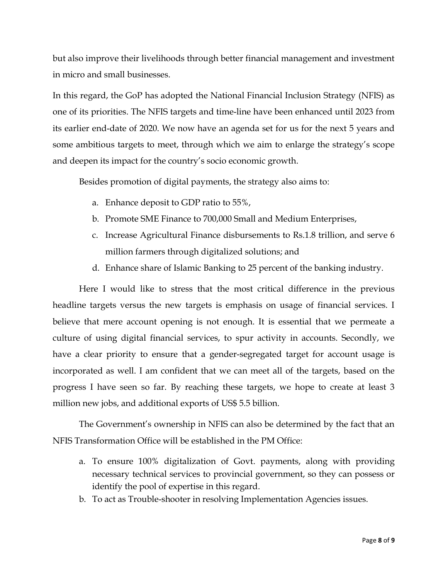but also improve their livelihoods through better financial management and investment in micro and small businesses.

In this regard, the GoP has adopted the National Financial Inclusion Strategy (NFIS) as one of its priorities. The NFIS targets and time-line have been enhanced until 2023 from its earlier end-date of 2020. We now have an agenda set for us for the next 5 years and some ambitious targets to meet, through which we aim to enlarge the strategy's scope and deepen its impact for the country's socio economic growth.

Besides promotion of digital payments, the strategy also aims to:

- a. Enhance deposit to GDP ratio to 55%,
- b. Promote SME Finance to 700,000 Small and Medium Enterprises,
- c. Increase Agricultural Finance disbursements to Rs.1.8 trillion, and serve 6 million farmers through digitalized solutions; and
- d. Enhance share of Islamic Banking to 25 percent of the banking industry.

Here I would like to stress that the most critical difference in the previous headline targets versus the new targets is emphasis on usage of financial services. I believe that mere account opening is not enough. It is essential that we permeate a culture of using digital financial services, to spur activity in accounts. Secondly, we have a clear priority to ensure that a gender-segregated target for account usage is incorporated as well. I am confident that we can meet all of the targets, based on the progress I have seen so far. By reaching these targets, we hope to create at least 3 million new jobs, and additional exports of US\$ 5.5 billion.

The Government's ownership in NFIS can also be determined by the fact that an NFIS Transformation Office will be established in the PM Office:

- a. To ensure 100% digitalization of Govt. payments, along with providing necessary technical services to provincial government, so they can possess or identify the pool of expertise in this regard.
- b. To act as Trouble-shooter in resolving Implementation Agencies issues.